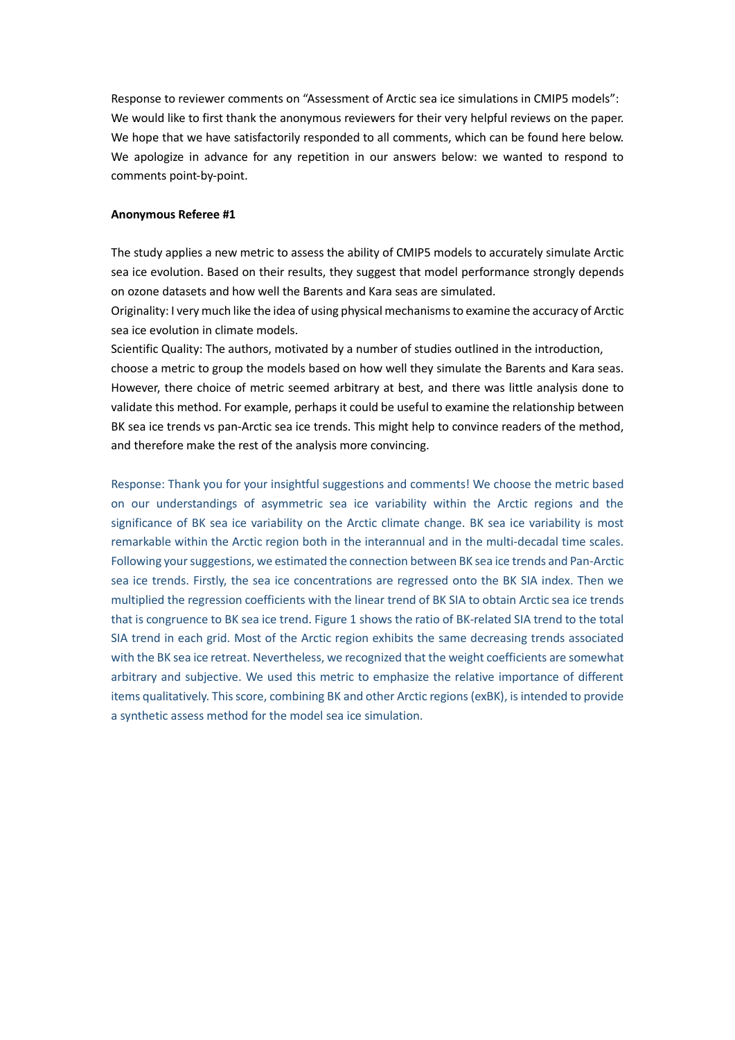Response to reviewer comments on "Assessment of Arctic sea ice simulations in CMIP5 models": We would like to first thank the anonymous reviewers for their very helpful reviews on the paper. We hope that we have satisfactorily responded to all comments, which can be found here below. We apologize in advance for any repetition in our answers below: we wanted to respond to comments point-by-point.

## **Anonymous Referee #1**

The study applies a new metric to assess the ability of CMIP5 models to accurately simulate Arctic sea ice evolution. Based on their results, they suggest that model performance strongly depends on ozone datasets and how well the Barents and Kara seas are simulated.

Originality: I very much like the idea of using physical mechanisms to examine the accuracy of Arctic sea ice evolution in climate models.

Scientific Quality: The authors, motivated by a number of studies outlined in the introduction, choose a metric to group the models based on how well they simulate the Barents and Kara seas. However, there choice of metric seemed arbitrary at best, and there was little analysis done to validate this method. For example, perhaps it could be useful to examine the relationship between BK sea ice trends vs pan-Arctic sea ice trends. This might help to convince readers of the method, and therefore make the rest of the analysis more convincing.

Response: Thank you for your insightful suggestions and comments! We choose the metric based on our understandings of asymmetric sea ice variability within the Arctic regions and the significance of BK sea ice variability on the Arctic climate change. BK sea ice variability is most remarkable within the Arctic region both in the interannual and in the multi-decadal time scales. Following your suggestions, we estimated the connection between BK sea ice trends and Pan-Arctic sea ice trends. Firstly, the sea ice concentrations are regressed onto the BK SIA index. Then we multiplied the regression coefficients with the linear trend of BK SIA to obtain Arctic sea ice trends that is congruence to BK sea ice trend. Figure 1 shows the ratio of BK-related SIA trend to the total SIA trend in each grid. Most of the Arctic region exhibits the same decreasing trends associated with the BK sea ice retreat. Nevertheless, we recognized that the weight coefficients are somewhat arbitrary and subjective. We used this metric to emphasize the relative importance of different items qualitatively. This score, combining BK and other Arctic regions (exBK), is intended to provide a synthetic assess method for the model sea ice simulation.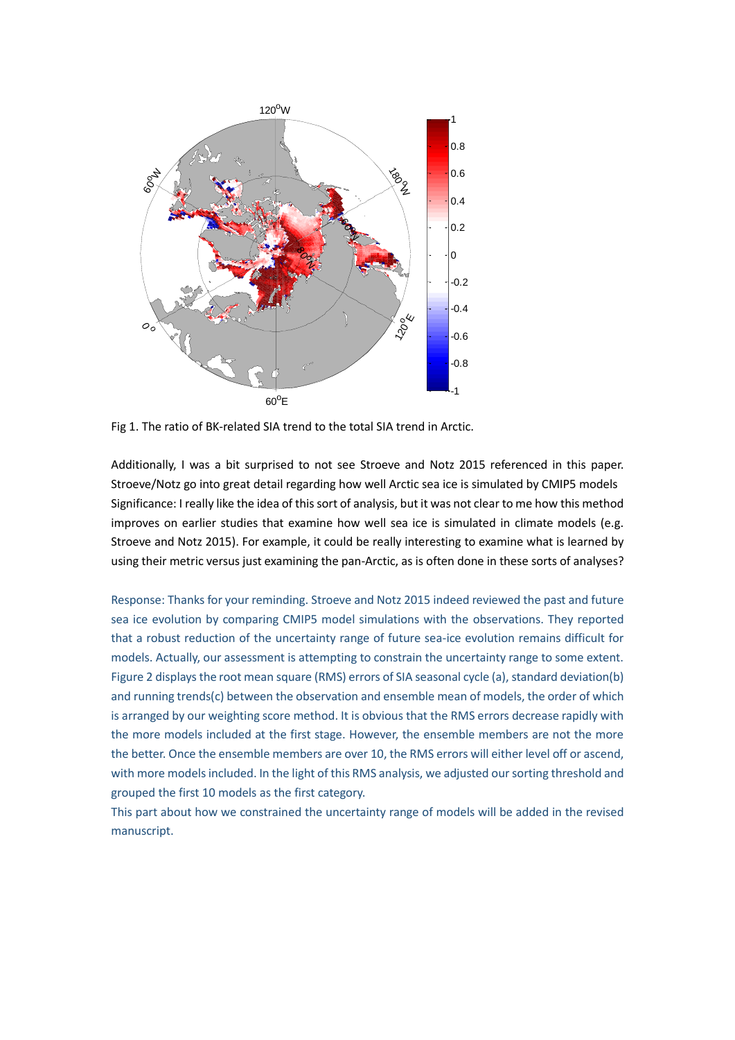

Fig 1. The ratio of BK-related SIA trend to the total SIA trend in Arctic.

Additionally, I was a bit surprised to not see Stroeve and Notz 2015 referenced in this paper. Stroeve/Notz go into great detail regarding how well Arctic sea ice is simulated by CMIP5 models Significance: I really like the idea of this sort of analysis, but it was not clear to me how this method improves on earlier studies that examine how well sea ice is simulated in climate models (e.g. Stroeve and Notz 2015). For example, it could be really interesting to examine what is learned by using their metric versus just examining the pan-Arctic, as is often done in these sorts of analyses?

Response: Thanks for your reminding. Stroeve and Notz 2015 indeed reviewed the past and future sea ice evolution by comparing CMIP5 model simulations with the observations. They reported that a robust reduction of the uncertainty range of future sea-ice evolution remains difficult for models. Actually, our assessment is attempting to constrain the uncertainty range to some extent. Figure 2 displays the root mean square (RMS) errors of SIA seasonal cycle (a), standard deviation(b) and running trends(c) between the observation and ensemble mean of models, the order of which is arranged by our weighting score method. It is obvious that the RMS errors decrease rapidly with the more models included at the first stage. However, the ensemble members are not the more the better. Once the ensemble members are over 10, the RMS errors will either level off or ascend, with more models included. In the light of this RMS analysis, we adjusted our sorting threshold and grouped the first 10 models as the first category.

This part about how we constrained the uncertainty range of models will be added in the revised manuscript.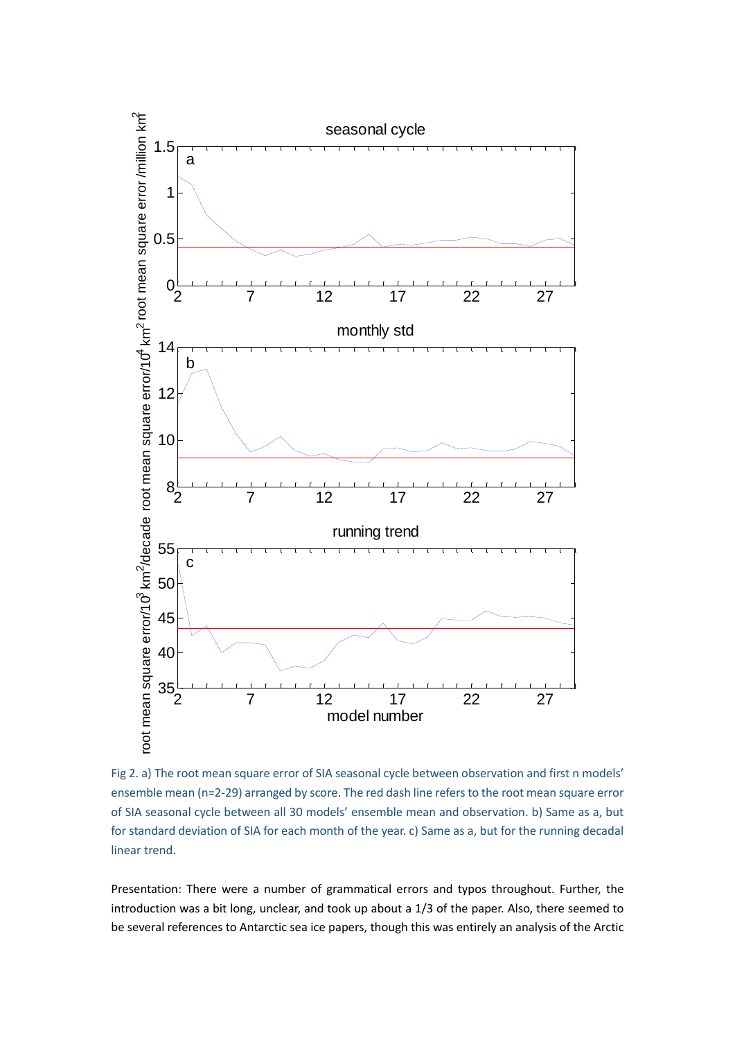

Fig 2. a) The root mean square error of SIA seasonal cycle between observation and first n models' ensemble mean (n=2-29) arranged by score. The red dash line refers to the root mean square error of SIA seasonal cycle between all 30 models' ensemble mean and observation. b) Same as a, but for standard deviation of SIA for each month of the year. c) Same as a, but for the running decadal linear trend.

Presentation: There were a number of grammatical errors and typos throughout. Further, the introduction was a bit long, unclear, and took up about a 1/3 of the paper. Also, there seemed to be several references to Antarctic sea ice papers, though this was entirely an analysis of the Arctic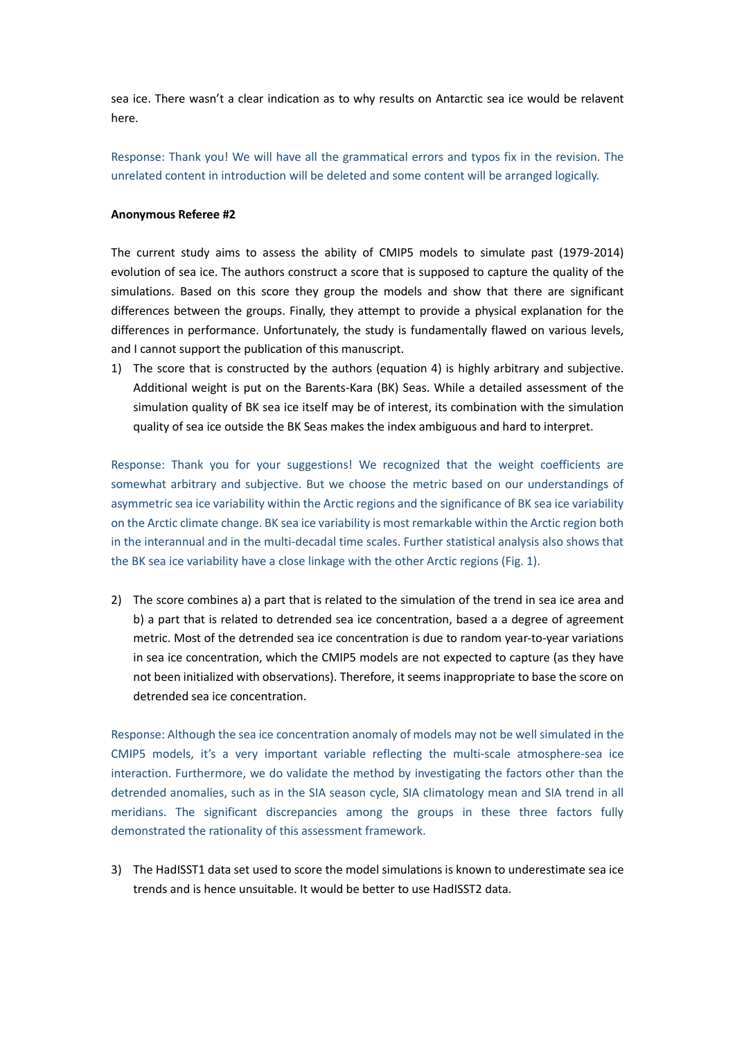sea ice. There wasn't a clear indication as to why results on Antarctic sea ice would be relavent here.

Response: Thank you! We will have all the grammatical errors and typos fix in the revision. The unrelated content in introduction will be deleted and some content will be arranged logically.

## **Anonymous Referee #2**

The current study aims to assess the ability of CMIP5 models to simulate past (1979-2014) evolution of sea ice. The authors construct a score that is supposed to capture the quality of the simulations. Based on this score they group the models and show that there are significant differences between the groups. Finally, they attempt to provide a physical explanation for the differences in performance. Unfortunately, the study is fundamentally flawed on various levels, and I cannot support the publication of this manuscript.

1) The score that is constructed by the authors (equation 4) is highly arbitrary and subjective. Additional weight is put on the Barents-Kara (BK) Seas. While a detailed assessment of the simulation quality of BK sea ice itself may be of interest, its combination with the simulation quality of sea ice outside the BK Seas makes the index ambiguous and hard to interpret.

Response: Thank you for your suggestions! We recognized that the weight coefficients are somewhat arbitrary and subjective. But we choose the metric based on our understandings of asymmetric sea ice variability within the Arctic regions and the significance of BK sea ice variability on the Arctic climate change. BK sea ice variability is most remarkable within the Arctic region both in the interannual and in the multi-decadal time scales. Further statistical analysis also shows that the BK sea ice variability have a close linkage with the other Arctic regions (Fig. 1).

2) The score combines a) a part that is related to the simulation of the trend in sea ice area and b) a part that is related to detrended sea ice concentration, based a a degree of agreement metric. Most of the detrended sea ice concentration is due to random year-to-year variations in sea ice concentration, which the CMIP5 models are not expected to capture (as they have not been initialized with observations). Therefore, it seems inappropriate to base the score on detrended sea ice concentration.

Response: Although the sea ice concentration anomaly of models may not be well simulated in the CMIP5 models, it's a very important variable reflecting the multi-scale atmosphere-sea ice interaction. Furthermore, we do validate the method by investigating the factors other than the detrended anomalies, such as in the SIA season cycle, SIA climatology mean and SIA trend in all meridians. The significant discrepancies among the groups in these three factors fully demonstrated the rationality of this assessment framework.

3) The HadISST1 data set used to score the model simulations is known to underestimate sea ice trends and is hence unsuitable. It would be better to use HadISST2 data.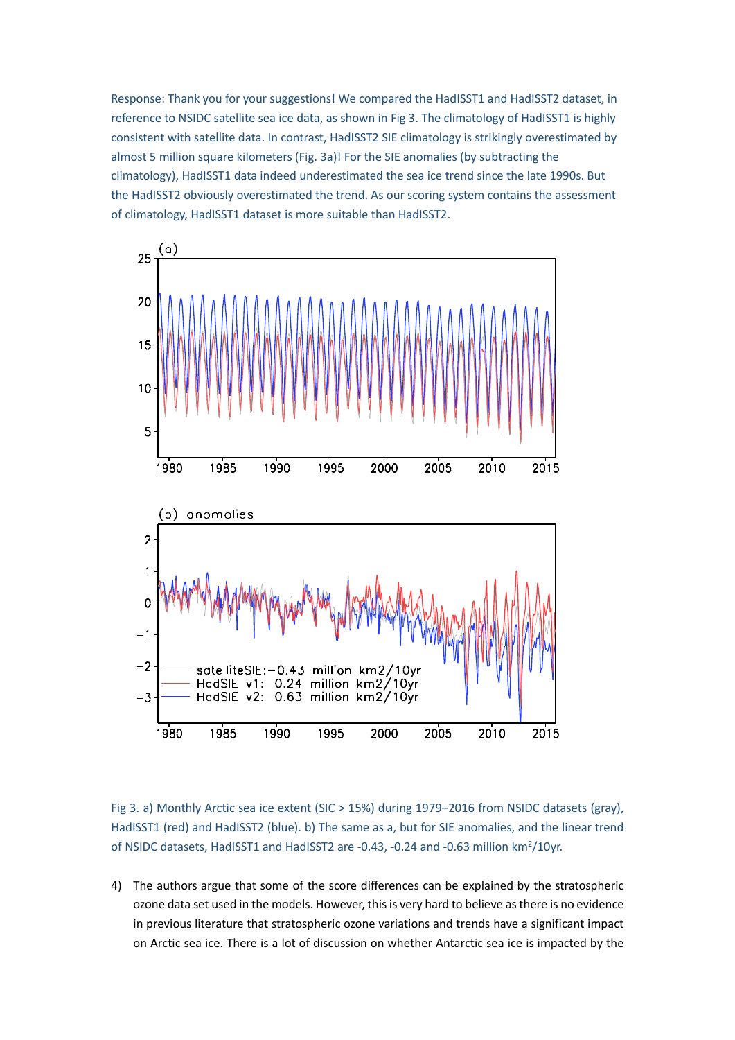Response: Thank you for your suggestions! We compared the HadISST1 and HadISST2 dataset, in reference to NSIDC satellite sea ice data, as shown in Fig 3. The climatology of HadISST1 is highly consistent with satellite data. In contrast, HadISST2 SIE climatology is strikingly overestimated by almost 5 million square kilometers (Fig. 3a)! For the SIE anomalies (by subtracting the climatology), HadISST1 data indeed underestimated the sea ice trend since the late 1990s. But the HadISST2 obviously overestimated the trend. As our scoring system contains the assessment of climatology, HadISST1 dataset is more suitable than HadISST2.



Fig 3. a) Monthly Arctic sea ice extent (SIC > 15%) during 1979–2016 from NSIDC datasets (gray), HadISST1 (red) and HadISST2 (blue). b) The same as a, but for SIE anomalies, and the linear trend of NSIDC datasets, HadISST1 and HadISST2 are -0.43, -0.24 and -0.63 million km<sup>2</sup>/10yr.

4) The authors argue that some of the score differences can be explained by the stratospheric ozone data set used in the models. However, this is very hard to believe asthere is no evidence in previous literature that stratospheric ozone variations and trends have a significant impact on Arctic sea ice. There is a lot of discussion on whether Antarctic sea ice is impacted by the